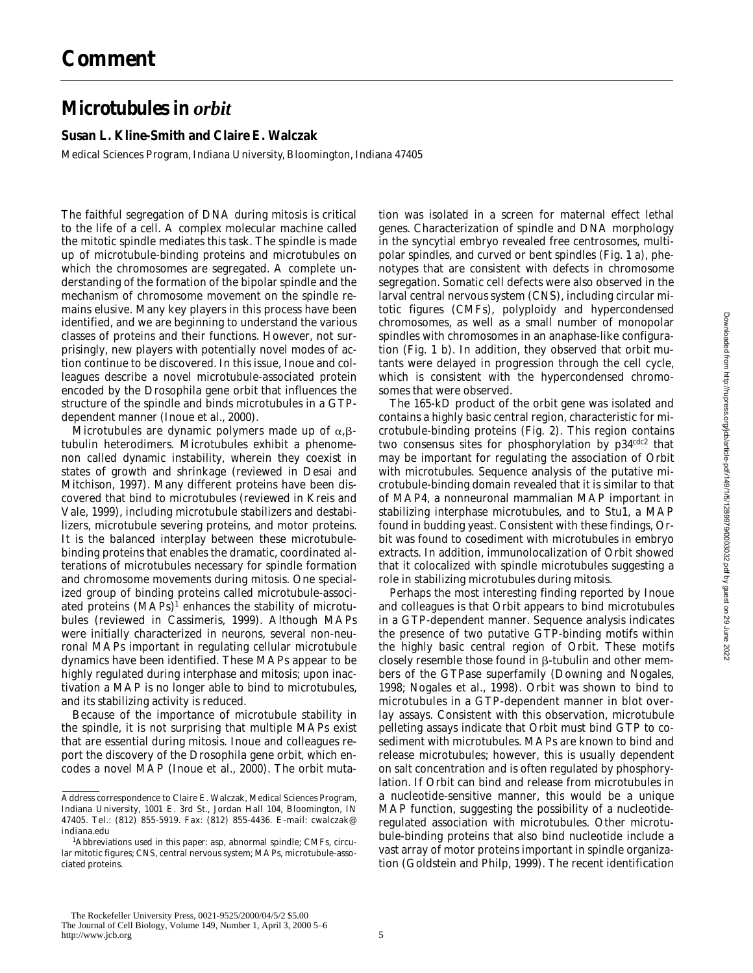## **Comment**

## **Microtubules in** *orbit*

## **Susan L. Kline-Smith and Claire E. Walczak**

Medical Sciences Program, Indiana University, Bloomington, Indiana 47405

The faithful segregation of DNA during mitosis is critical to the life of a cell. A complex molecular machine called the mitotic spindle mediates this task. The spindle is made up of microtubule-binding proteins and microtubules on which the chromosomes are segregated. A complete understanding of the formation of the bipolar spindle and the mechanism of chromosome movement on the spindle remains elusive. Many key players in this process have been identified, and we are beginning to understand the various classes of proteins and their functions. However, not surprisingly, new players with potentially novel modes of action continue to be discovered. In this issue, Inoue and colleagues describe a novel microtubule-associated protein encoded by the *Drosophila* gene *orbit* that influences the structure of the spindle and binds microtubules in a GTPdependent manner (Inoue et al., 2000).

Microtubules are dynamic polymers made up of  $\alpha$ ,  $\beta$ tubulin heterodimers. Microtubules exhibit a phenomenon called dynamic instability, wherein they coexist in states of growth and shrinkage (reviewed in Desai and Mitchison, 1997). Many different proteins have been discovered that bind to microtubules (reviewed in Kreis and Vale, 1999), including microtubule stabilizers and destabilizers, microtubule severing proteins, and motor proteins. It is the balanced interplay between these microtubulebinding proteins that enables the dramatic, coordinated alterations of microtubules necessary for spindle formation and chromosome movements during mitosis. One specialized group of binding proteins called microtubule-associated proteins (MAPs)<sup>1</sup> enhances the stability of microtubules (reviewed in Cassimeris, 1999). Although MAPs were initially characterized in neurons, several non-neuronal MAPs important in regulating cellular microtubule dynamics have been identified. These MAPs appear to be highly regulated during interphase and mitosis; upon inactivation a MAP is no longer able to bind to microtubules, and its stabilizing activity is reduced.

Because of the importance of microtubule stability in the spindle, it is not surprising that multiple MAPs exist that are essential during mitosis. Inoue and colleagues report the discovery of the *Drosophila* gene *orbit*, which encodes a novel MAP (Inoue et al., 2000). The *orbit* muta-

tion was isolated in a screen for maternal effect lethal genes. Characterization of spindle and DNA morphology in the syncytial embryo revealed free centrosomes, multipolar spindles, and curved or bent spindles (Fig. 1 a), phenotypes that are consistent with defects in chromosome segregation. Somatic cell defects were also observed in the larval central nervous system (CNS), including circular mitotic figures (CMFs), polyploidy and hypercondensed chromosomes, as well as a small number of monopolar spindles with chromosomes in an anaphase-like configuration (Fig. 1 b). In addition, they observed that *orbit* mutants were delayed in progression through the cell cycle, which is consistent with the hypercondensed chromosomes that were observed.

The 165-kD product of the *orbit* gene was isolated and contains a highly basic central region, characteristic for microtubule-binding proteins (Fig. 2). This region contains two consensus sites for phosphorylation by  $p34^{cdc2}$  that may be important for regulating the association of Orbit with microtubules. Sequence analysis of the putative microtubule-binding domain revealed that it is similar to that of MAP4, a nonneuronal mammalian MAP important in stabilizing interphase microtubules, and to Stu1, a MAP found in budding yeast. Consistent with these findings, Orbit was found to cosediment with microtubules in embryo extracts. In addition, immunolocalization of Orbit showed that it colocalized with spindle microtubules suggesting a role in stabilizing microtubules during mitosis.

Perhaps the most interesting finding reported by Inoue and colleagues is that Orbit appears to bind microtubules in a GTP-dependent manner. Sequence analysis indicates the presence of two putative GTP-binding motifs within the highly basic central region of Orbit. These motifs closely resemble those found in  $\beta$ -tubulin and other members of the GTPase superfamily (Downing and Nogales, 1998; Nogales et al., 1998). Orbit was shown to bind to microtubules in a GTP-dependent manner in blot overlay assays. Consistent with this observation, microtubule pelleting assays indicate that Orbit must bind GTP to cosediment with microtubules. MAPs are known to bind and release microtubules; however, this is usually dependent on salt concentration and is often regulated by phosphorylation. If Orbit can bind and release from microtubules in a nucleotide-sensitive manner, this would be a unique MAP function, suggesting the possibility of a nucleotideregulated association with microtubules. Other microtubule-binding proteins that also bind nucleotide include a vast array of motor proteins important in spindle organization (Goldstein and Philp, 1999). The recent identification

Address correspondence to Claire E. Walczak, Medical Sciences Program, Indiana University, 1001 E. 3rd St., Jordan Hall 104, Bloomington, IN 47405. Tel.: (812) 855-5919. Fax: (812) 855-4436. E-mail: cwalczak@ indiana.edu

<sup>1</sup> *Abbreviations used in this paper: asp*, abnormal spindle; CMFs, circular mitotic figures; CNS, central nervous system; MAPs, microtubule-associated proteins.